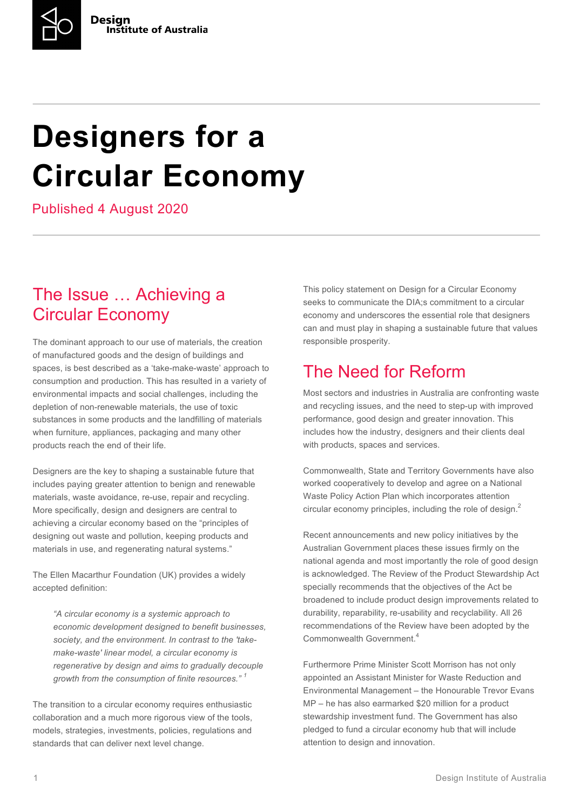# **Designers for a Circular Economy**

Published 4 August 2020

#### The Issue … Achieving a Circular Economy

The dominant approach to our use of materials, the creation of manufactured goods and the design of buildings and spaces, is best described as a 'take-make-waste' approach to consumption and production. This has resulted in a variety of environmental impacts and social challenges, including the depletion of non-renewable materials, the use of toxic substances in some products and the landfilling of materials when furniture, appliances, packaging and many other products reach the end of their life.

Designers are the key to shaping a sustainable future that includes paying greater attention to benign and renewable materials, waste avoidance, re-use, repair and recycling. More specifically, design and designers are central to achieving a circular economy based on the "principles of designing out waste and pollution, keeping products and materials in use, and regenerating natural systems."

The Ellen Macarthur Foundation (UK) provides a widely accepted definition:

*"A circular economy is a systemic approach to economic development designed to benefit businesses, society, and the environment. In contrast to the 'takemake-waste' linear model, a circular economy is regenerative by design and aims to gradually decouple growth from the consumption of finite resources." <sup>1</sup>*

The transition to a circular economy requires enthusiastic collaboration and a much more rigorous view of the tools, models, strategies, investments, policies, regulations and standards that can deliver next level change.

This policy statement on Design for a Circular Economy seeks to communicate the DIA:s commitment to a circular economy and underscores the essential role that designers can and must play in shaping a sustainable future that values responsible prosperity.

### The Need for Reform

Most sectors and industries in Australia are confronting waste and recycling issues, and the need to step-up with improved performance, good design and greater innovation. This includes how the industry, designers and their clients deal with products, spaces and services.

Commonwealth, State and Territory Governments have also worked cooperatively to develop and agree on a National Waste Policy Action Plan which incorporates attention circular economy principles, including the role of design.<sup>2</sup>

Recent announcements and new policy initiatives by the Australian Government places these issues firmly on the national agenda and most importantly the role of good design is acknowledged. The Review of the Product Stewardship Act specially recommends that the objectives of the Act be broadened to include product design improvements related to durability, reparability, re-usability and recyclability. All 26 recommendations of the Review have been adopted by the Commonwealth Government<sup>4</sup>

Furthermore Prime Minister Scott Morrison has not only appointed an Assistant Minister for Waste Reduction and Environmental Management – the Honourable Trevor Evans MP – he has also earmarked \$20 million for a product stewardship investment fund. The Government has also pledged to fund a circular economy hub that will include attention to design and innovation.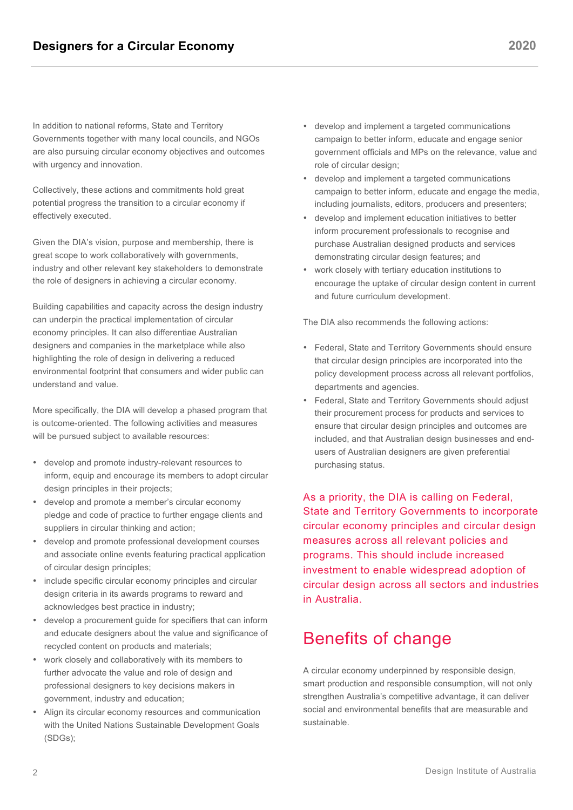In addition to national reforms, State and Territory Governments together with many local councils, and NGOs are also pursuing circular economy objectives and outcomes with urgency and innovation.

Collectively, these actions and commitments hold great potential progress the transition to a circular economy if effectively executed.

Given the DIA's vision, purpose and membership, there is great scope to work collaboratively with governments, industry and other relevant key stakeholders to demonstrate the role of designers in achieving a circular economy.

Building capabilities and capacity across the design industry can underpin the practical implementation of circular economy principles. It can also differentiae Australian designers and companies in the marketplace while also highlighting the role of design in delivering a reduced environmental footprint that consumers and wider public can understand and value.

More specifically, the DIA will develop a phased program that is outcome-oriented. The following activities and measures will be pursued subject to available resources:

- develop and promote industry-relevant resources to inform, equip and encourage its members to adopt circular design principles in their projects;
- develop and promote a member's circular economy pledge and code of practice to further engage clients and suppliers in circular thinking and action;
- develop and promote professional development courses and associate online events featuring practical application of circular design principles;
- include specific circular economy principles and circular design criteria in its awards programs to reward and acknowledges best practice in industry;
- develop a procurement guide for specifiers that can inform and educate designers about the value and significance of recycled content on products and materials;
- work closely and collaboratively with its members to further advocate the value and role of design and professional designers to key decisions makers in government, industry and education;
- Align its circular economy resources and communication with the United Nations Sustainable Development Goals (SDGs);
- develop and implement a targeted communications campaign to better inform, educate and engage senior government officials and MPs on the relevance, value and role of circular design;
- develop and implement a targeted communications campaign to better inform, educate and engage the media, including journalists, editors, producers and presenters;
- develop and implement education initiatives to better inform procurement professionals to recognise and purchase Australian designed products and services demonstrating circular design features; and
- work closely with tertiary education institutions to encourage the uptake of circular design content in current and future curriculum development.

The DIA also recommends the following actions:

- Federal, State and Territory Governments should ensure that circular design principles are incorporated into the policy development process across all relevant portfolios, departments and agencies.
- Federal, State and Territory Governments should adjust their procurement process for products and services to ensure that circular design principles and outcomes are included, and that Australian design businesses and endusers of Australian designers are given preferential purchasing status.

As a priority, the DIA is calling on Federal, State and Territory Governments to incorporate circular economy principles and circular design measures across all relevant policies and programs. This should include increased investment to enable widespread adoption of circular design across all sectors and industries in Australia.

#### Benefits of change

A circular economy underpinned by responsible design, smart production and responsible consumption, will not only strengthen Australia's competitive advantage, it can deliver social and environmental benefits that are measurable and sustainable.